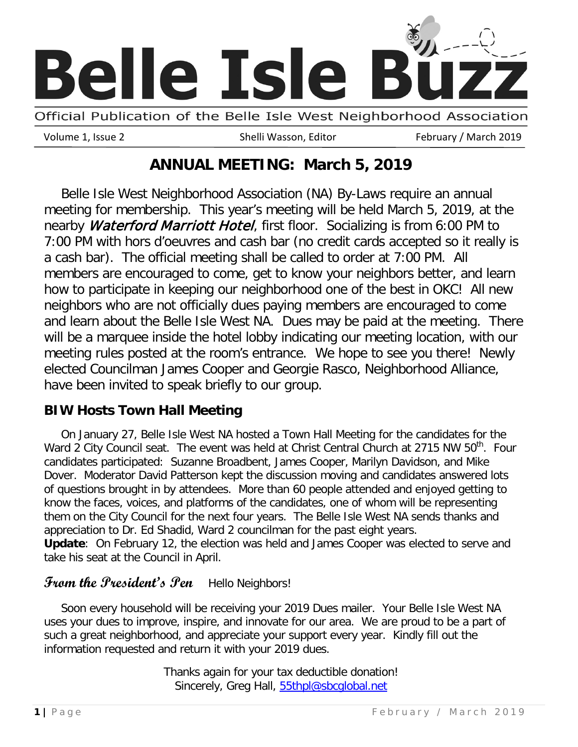

Volume 1, Issue 2 The Shelli Wasson, Editor February / March 2019

# **ANNUAL MEETING: March 5, 2019**

and learn about the Belle Isle West NA. Dues may be paid at the meeting. There Belle Isle West Neighborhood Association (NA) By-Laws require an annual meeting for membership. This year's meeting will be held March 5, 2019, at the nearby Waterford Marriott Hotel, first floor. Socializing is from 6:00 PM to 7:00 PM with hors d'oeuvres and cash bar (no credit cards accepted so it really is a cash bar). The official meeting shall be called to order at 7:00 PM. All members are encouraged to come, get to know your neighbors better, and learn how to participate in keeping our neighborhood one of the best in OKC! All new neighbors who are not officially dues paying members are encouraged to come will be a marquee inside the hotel lobby indicating our meeting location, with our meeting rules posted at the room's entrance. We hope to see you there! Newly elected Councilman James Cooper and Georgie Rasco, Neighborhood Alliance, have been invited to speak briefly to our group.

### **BIW Hosts Town Hall Meeting**

On January 27, Belle Isle West NA hosted a Town Hall Meeting for the candidates for the Ward 2 City Council seat. The event was held at Christ Central Church at 2715 NW 50<sup>th</sup>. Four candidates participated: Suzanne Broadbent, James Cooper, Marilyn Davidson, and Mike Dover. Moderator David Patterson kept the discussion moving and candidates answered lots of questions brought in by attendees. More than 60 people attended and enjoyed getting to know the faces, voices, and platforms of the candidates, one of whom will be representing them on the City Council for the next four years. The Belle Isle West NA sends thanks and appreciation to Dr. Ed Shadid, Ward 2 councilman for the past eight years. **Update**: On February 12, the election was held and James Cooper was elected to serve and

take his seat at the Council in April.

# From the President's Pen Hello Neighbors!

Soon every household will be receiving your 2019 Dues mailer. Your Belle Isle West NA uses your dues to improve, inspire, and innovate for our area. We are proud to be a part of such a great neighborhood, and appreciate your support every year. Kindly fill out the information requested and return it with your 2019 dues.

> Thanks again for your tax deductible donation! Sincerely, Greg Hall, [55thpl@sbcglobal.net](mailto:55thpl@sbcglobal.net)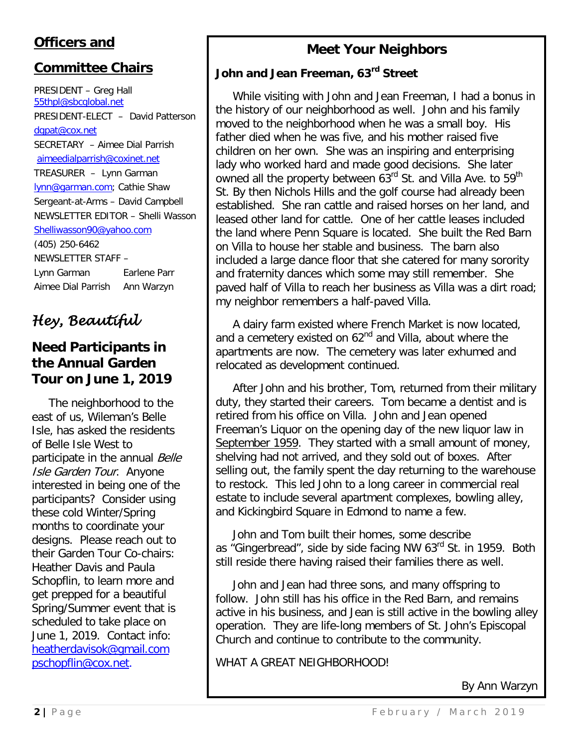## **Officers and**

### **Committee Chairs**

PRESIDENT – Greg Hall [55thpl@sbcglobal.net](mailto:55thpl@sbcglobal.net) PRESIDENT-ELECT – David Patterson [dgpat@cox.net](mailto:dgpat@cox.net) SECRETARY – Aimee Dial Parrish [aimeedialparrish@coxinet.net](mailto:aimeedialparrish@coxinet.net) TREASURER – Lynn Garman [lynn@garman.com;](mailto:lynn@garman.com) Cathie Shaw Sergeant-at-Arms – David Campbell NEWSLETTER EDITOR – Shelli Wasson [Shelliwasson90@yahoo.com](mailto:Shelliwasson90@yahoo.com) (405) 250-6462 NEWSLETTER STAFF – Lynn Garman Earlene Parr Aimee Dial Parrish Ann Warzyn

# *Hey, Beautiful*

### **Need Participants in the Annual Garden Tour on June 1, 2019**

The neighborhood to the east of us, Wileman's Belle Isle, has asked the residents of Belle Isle West to participate in the annual Belle Isle Garden Tour. Anyone interested in being one of the participants? Consider using these cold Winter/Spring months to coordinate your designs. Please reach out to their Garden Tour Co-chairs: Heather Davis and Paula Schopflin, to learn more and get prepped for a beautiful Spring/Summer event that is scheduled to take place on June 1, 2019. Contact info: [heatherdavisok@gmail.com](mailto:heatherdavisok@gmail.com)  [pschopflin@cox.net.](mailto:pschopflin@cox.net)

### **Meet Your Neighbors**

### **John and Jean Freeman, 63rd Street**

While visiting with John and Jean Freeman, I had a bonus in the history of our neighborhood as well. John and his family moved to the neighborhood when he was a small boy. His father died when he was five, and his mother raised five children on her own. She was an inspiring and enterprising lady who worked hard and made good decisions. She later owned all the property between 63<sup>rd</sup> St. and Villa Ave. to 59<sup>th</sup> St. By then Nichols Hills and the golf course had already been established. She ran cattle and raised horses on her land, and leased other land for cattle. One of her cattle leases included the land where Penn Square is located. She built the Red Barn on Villa to house her stable and business. The barn also included a large dance floor that she catered for many sorority and fraternity dances which some may still remember. She paved half of Villa to reach her business as Villa was a dirt road; my neighbor remembers a half-paved Villa.

A dairy farm existed where French Market is now located, and a cemetery existed on 62<sup>nd</sup> and Villa, about where the apartments are now. The cemetery was later exhumed and relocated as development continued.

After John and his brother, Tom, returned from their military duty, they started their careers. Tom became a dentist and is retired from his office on Villa. John and Jean opened Freeman's Liquor on the opening day of the new liquor law in September 1959. They started with a small amount of money, shelving had not arrived, and they sold out of boxes. After selling out, the family spent the day returning to the warehouse to restock. This led John to a long career in commercial real estate to include several apartment complexes, bowling alley, and Kickingbird Square in Edmond to name a few.

John and Tom built their homes, some describe as "Gingerbread", side by side facing NW 63<sup>rd</sup> St. in 1959. Both still reside there having raised their families there as well.

John and Jean had three sons, and many offspring to follow. John still has his office in the Red Barn, and remains active in his business, and Jean is still active in the bowling alley operation. They are life-long members of St. John's Episcopal Church and continue to contribute to the community.

WHAT A GREAT NEIGHBORHOOD!

By Ann Warzyn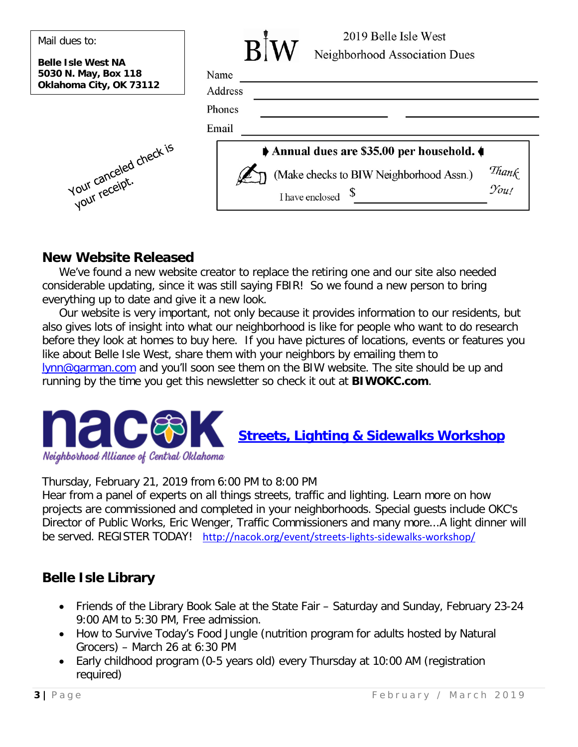| Mail dues to:                                                                | 2019 Belle Isle West                                                                                                                                |
|------------------------------------------------------------------------------|-----------------------------------------------------------------------------------------------------------------------------------------------------|
| <b>Belle Isle West NA</b><br>5030 N. May, Box 118<br>Oklahoma City, OK 73112 | Neighborhood Association Dues<br>Name<br>Address                                                                                                    |
|                                                                              | Phones<br>Email                                                                                                                                     |
| Your canceled check is                                                       | Annual dues are \$35.00 per household.<br>Than $\ell$<br>(Make checks to BIW Neighborhood Assn.)<br>$\mathcal{Y}_{\mathit{out}}$<br>I have enclosed |

### **New Website Released**

We've found a new website creator to replace the retiring one and our site also needed considerable updating, since it was still saying FBIR! So we found a new person to bring everything up to date and give it a new look.

Our website is very important, not only because it provides information to our residents, but also gives lots of insight into what our neighborhood is like for people who want to do research before they look at homes to buy here. If you have pictures of locations, events or features you like about Belle Isle West, share them with your neighbors by emailing them to [lynn@garman.com](mailto:lynn@garman.com) and you'll soon see them on the BIW website. The site should be up and running by the time you get this newsletter so check it out at **BIWOKC.com**.



**[Streets, Lighting & Sidewalks Workshop](https://events.r20.constantcontact.com/register/event?oeidk=a07eg0ov2hi3020a412)**

Thursday, February 21, 2019 from 6:00 PM to 8:00 PM

Hear from a panel of experts on all things streets, traffic and lighting. Learn more on how projects are commissioned and completed in your neighborhoods. Special guests include OKC's Director of Public Works, Eric Wenger, Traffic Commissioners and many more...A light dinner will be served. REGISTER TODAY! [http://nacok.org/event/streets-lights-sidewalks-workshop/](https://protect-us.mimecast.com/s/cUyFC68G6GCrq7RYh6JiXj?domain=nacok.org)

# **Belle Isle Library**

- Friends of the Library Book Sale at the State Fair Saturday and Sunday, February 23-24 9:00 AM to 5:30 PM, Free admission.
- How to Survive Today's Food Jungle (nutrition program for adults hosted by Natural Grocers) – March 26 at 6:30 PM
- Early childhood program (0-5 years old) every Thursday at 10:00 AM (registration required)